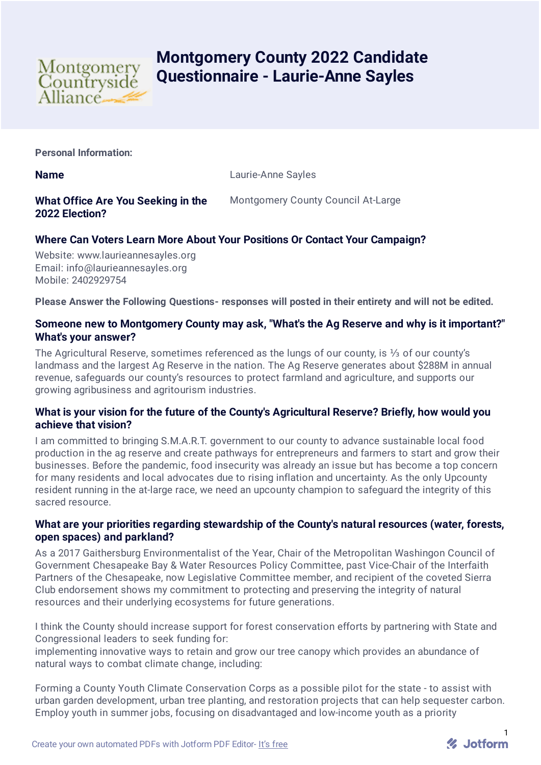

# **Montgomery County 2022 Candidate Questionnaire - Laurie-Anne Sayles**

**Personal Information:**

**Name** Laurie-Anne Sayles

# **What Office Are You Seeking in the 2022 Election?**

Montgomery County Council At-Large

# **Where Can Voters Learn More About Your Positions Or Contact Your Campaign?**

Website: www.laurieannesayles.org Email: info@laurieannesayles.org Mobile: 2402929754

**Please Answer the Following Questions- responses will posted in their entirety and will not be edited.**

#### **Someone new to Montgomery County may ask, "What's the Ag Reserve and why is it important?" What's your answer?**

The Agricultural Reserve, sometimes referenced as the lungs of our county, is ⅓ of our county's landmass and the largest Ag Reserve in the nation. The Ag Reserve generates about \$288M in annual revenue, safeguards our county's resources to protect farmland and agriculture, and supports our growing agribusiness and agritourism industries.

## **What is your vision for the future of the County's Agricultural Reserve? Briefly, how would you achieve that vision?**

I am committed to bringing S.M.A.R.T. government to our county to advance sustainable local food production in the ag reserve and create pathways for entrepreneurs and farmers to start and grow their businesses. Before the pandemic, food insecurity was already an issue but has become a top concern for many residents and local advocates due to rising inflation and uncertainty. As the only Upcounty resident running in the at-large race, we need an upcounty champion to safeguard the integrity of this sacred resource.

#### **What are your priorities regarding stewardship of the County's natural resources (water, forests, open spaces) and parkland?**

As a 2017 Gaithersburg Environmentalist of the Year, Chair of the Metropolitan Washingon Council of Government Chesapeake Bay & Water Resources Policy Committee, past Vice-Chair of the Interfaith Partners of the Chesapeake, now Legislative Committee member, and recipient of the coveted Sierra Club endorsement shows my commitment to protecting and preserving the integrity of natural resources and their underlying ecosystems for future generations.

I think the County should increase support for forest conservation efforts by partnering with State and Congressional leaders to seek funding for:

implementing innovative ways to retain and grow our tree canopy which provides an abundance of natural ways to combat climate change, including:

Forming a County Youth Climate Conservation Corps as a possible pilot for the state - to assist with urban garden development, urban tree planting, and restoration projects that can help sequester carbon. Employ youth in summer jobs, focusing on disadvantaged and low-income youth as a priority

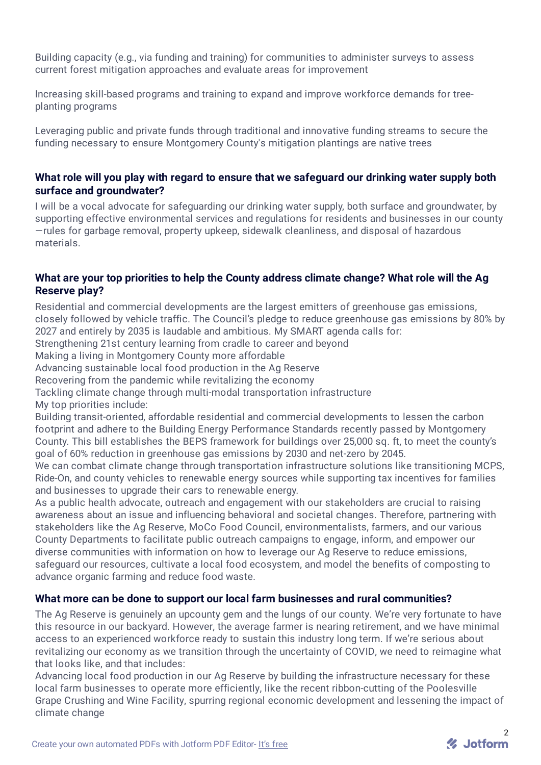Building capacity (e.g., via funding and training) for communities to administer surveys to assess current forest mitigation approaches and evaluate areas for improvement

Increasing skill-based programs and training to expand and improve workforce demands for treeplanting programs

Leveraging public and private funds through traditional and innovative funding streams to secure the funding necessary to ensure Montgomery County's mitigation plantings are native trees

#### **What role will you play with regard to ensure that we safeguard our drinking water supply both surface and groundwater?**

I will be a vocal advocate for safeguarding our drinking water supply, both surface and groundwater, by supporting effective environmental services and regulations for residents and businesses in our county —rules for garbage removal, property upkeep, sidewalk cleanliness, and disposal of hazardous materials.

#### **What are your top priorities to help the County address climate change? What role will the Ag Reserve play?**

Residential and commercial developments are the largest emitters of greenhouse gas emissions, closely followed by vehicle traffic. The Council's pledge to reduce greenhouse gas emissions by 80% by 2027 and entirely by 2035 is laudable and ambitious. My SMART agenda calls for:

Strengthening 21st century learning from cradle to career and beyond

Making a living in Montgomery County more affordable

Advancing sustainable local food production in the Ag Reserve

Recovering from the pandemic while revitalizing the economy

Tackling climate change through multi-modal transportation infrastructure My top priorities include:

Building transit-oriented, affordable residential and commercial developments to lessen the carbon footprint and adhere to the Building Energy Performance Standards recently passed by Montgomery County. This bill establishes the BEPS framework for buildings over 25,000 sq. ft, to meet the county's goal of 60% reduction in greenhouse gas emissions by 2030 and net-zero by 2045.

We can combat climate change through transportation infrastructure solutions like transitioning MCPS. Ride-On, and county vehicles to renewable energy sources while supporting tax incentives for families and businesses to upgrade their cars to renewable energy.

As a public health advocate, outreach and engagement with our stakeholders are crucial to raising awareness about an issue and influencing behavioral and societal changes. Therefore, partnering with stakeholders like the Ag Reserve, MoCo Food Council, environmentalists, farmers, and our various County Departments to facilitate public outreach campaigns to engage, inform, and empower our diverse communities with information on how to leverage our Ag Reserve to reduce emissions, safeguard our resources, cultivate a local food ecosystem, and model the benefits of composting to advance organic farming and reduce food waste.

#### **What more can be done to support our local farm businesses and rural communities?**

The Ag Reserve is genuinely an upcounty gem and the lungs of our county. We're very fortunate to have this resource in our backyard. However, the average farmer is nearing retirement, and we have minimal access to an experienced workforce ready to sustain this industry long term. If we're serious about revitalizing our economy as we transition through the uncertainty of COVID, we need to reimagine what that looks like, and that includes:

Advancing local food production in our Ag Reserve by building the infrastructure necessary for these local farm businesses to operate more efficiently, like the recent ribbon-cutting of the Poolesville Grape Crushing and Wine Facility, spurring regional economic development and lessening the impact of climate change

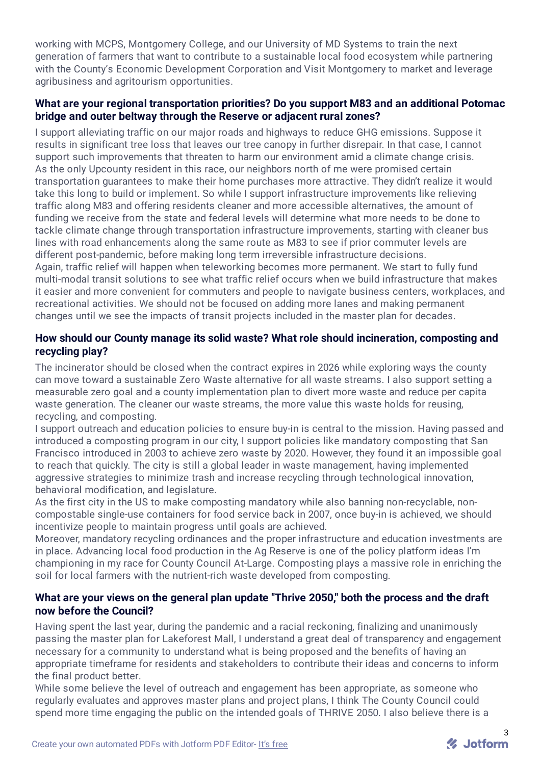working with MCPS, Montgomery College, and our University of MD Systems to train the next generation of farmers that want to contribute to a sustainable local food ecosystem while partnering with the County's Economic Development Corporation and Visit Montgomery to market and leverage agribusiness and agritourism opportunities.

## **What are your regional transportation priorities? Do you support M83 and an additional Potomac bridge and outer beltway through the Reserve or adjacent rural zones?**

I support alleviating traffic on our major roads and highways to reduce GHG emissions. Suppose it results in significant tree loss that leaves our tree canopy in further disrepair. In that case, I cannot support such improvements that threaten to harm our environment amid a climate change crisis. As the only Upcounty resident in this race, our neighbors north of me were promised certain transportation guarantees to make their home purchases more attractive. They didn't realize it would take this long to build or implement. So while I support infrastructure improvements like relieving traffic along M83 and offering residents cleaner and more accessible alternatives, the amount of funding we receive from the state and federal levels will determine what more needs to be done to tackle climate change through transportation infrastructure improvements, starting with cleaner bus lines with road enhancements along the same route as M83 to see if prior commuter levels are different post-pandemic, before making long term irreversible infrastructure decisions.

Again, traffic relief will happen when teleworking becomes more permanent. We start to fully fund multi-modal transit solutions to see what traffic relief occurs when we build infrastructure that makes it easier and more convenient for commuters and people to navigate business centers, workplaces, and recreational activities. We should not be focused on adding more lanes and making permanent changes until we see the impacts of transit projects included in the master plan for decades.

## **How should our County manage its solid waste? What role should incineration, composting and recycling play?**

The incinerator should be closed when the contract expires in 2026 while exploring ways the county can move toward a sustainable Zero Waste alternative for all waste streams. I also support setting a measurable zero goal and a county implementation plan to divert more waste and reduce per capita waste generation. The cleaner our waste streams, the more value this waste holds for reusing, recycling, and composting.

I support outreach and education policies to ensure buy-in is central to the mission. Having passed and introduced a composting program in our city, I support policies like mandatory composting that San Francisco introduced in 2003 to achieve zero waste by 2020. However, they found it an impossible goal to reach that quickly. The city is still a global leader in waste management, having implemented aggressive strategies to minimize trash and increase recycling through technological innovation, behavioral modification, and legislature.

As the first city in the US to make composting mandatory while also banning non-recyclable, noncompostable single-use containers for food service back in 2007, once buy-in is achieved, we should incentivize people to maintain progress until goals are achieved.

Moreover, mandatory recycling ordinances and the proper infrastructure and education investments are in place. Advancing local food production in the Ag Reserve is one of the policy platform ideas I'm championing in my race for County Council At-Large. Composting plays a massive role in enriching the soil for local farmers with the nutrient-rich waste developed from composting.

# **What are your views on the general plan update "Thrive 2050," both the process and the draft now before the Council?**

Having spent the last year, during the pandemic and a racial reckoning, finalizing and unanimously passing the master plan for Lakeforest Mall, I understand a great deal of transparency and engagement necessary for a community to understand what is being proposed and the benefits of having an appropriate timeframe for residents and stakeholders to contribute their ideas and concerns to inform the final product better.

While some believe the level of outreach and engagement has been appropriate, as someone who regularly evaluates and approves master plans and project plans, I think The County Council could spend more time engaging the public on the intended goals of THRIVE 2050. I also believe there is a